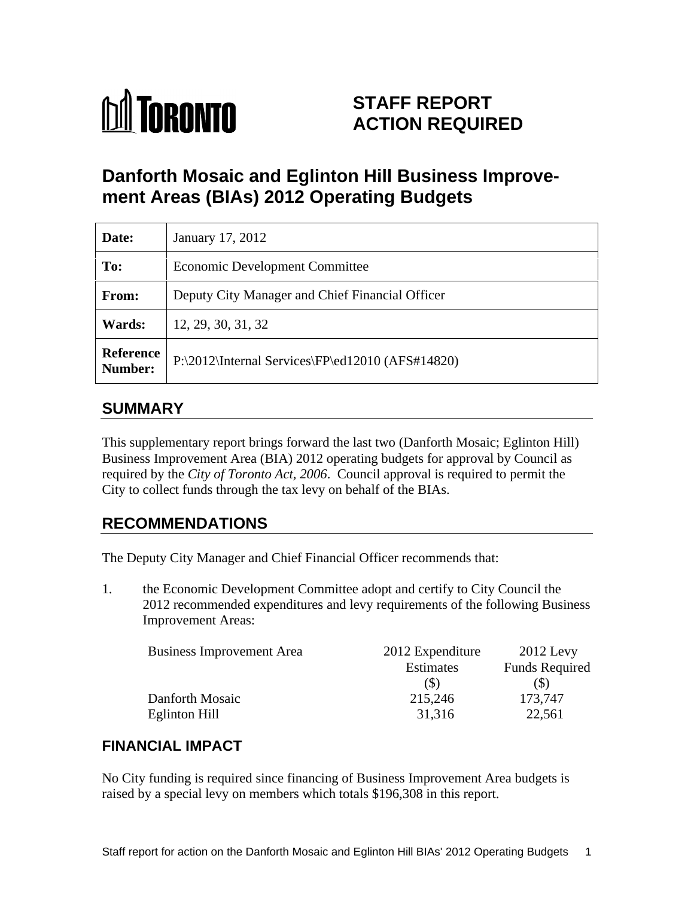

# **STAFF REPORT ACTION REQUIRED**

## **Danforth Mosaic and Eglinton Hill Business Improve ment Areas (BIAs) 2012 Operating Budgets**

| Date:                | January 17, 2012                                          |
|----------------------|-----------------------------------------------------------|
| To:                  | Economic Development Committee                            |
| From:                | Deputy City Manager and Chief Financial Officer           |
| <b>Wards:</b>        | 12, 29, 30, 31, 32                                        |
| Reference<br>Number: | $ P:\2012\text{Internal Services}\FP\ed12010 (AFS#14820)$ |

### **SUMMARY**

This supplementary report brings forward the last two (Danforth Mosaic; Eglinton Hill) Business Improvement Area (BIA) 2012 operating budgets for approval by Council as required by the *City of Toronto Act, 2006*. Council approval is required to permit the City to collect funds through the tax levy on behalf of the BIAs.

### **RECOMMENDATIONS**

The Deputy City Manager and Chief Financial Officer recommends that:

1. the Economic Development Committee adopt and certify to City Council the 2012 recommended expenditures and levy requirements of the following Business Improvement Areas:

| <b>Business Improvement Area</b> | 2012 Expenditure | 2012 Levy      |  |
|----------------------------------|------------------|----------------|--|
|                                  | - -<br>stimates  | Funds Required |  |
|                                  |                  | (3)            |  |
| Danforth Mosaic                  | 215,246          | 173,747        |  |
| <b>Eglinton Hill</b>             | 31,316           | 22,561         |  |

### **FINANCIAL IMPACT**

No City funding is required since financing of Business Improvement Area budgets is raised by a special levy on members which totals \$196,308 in this report.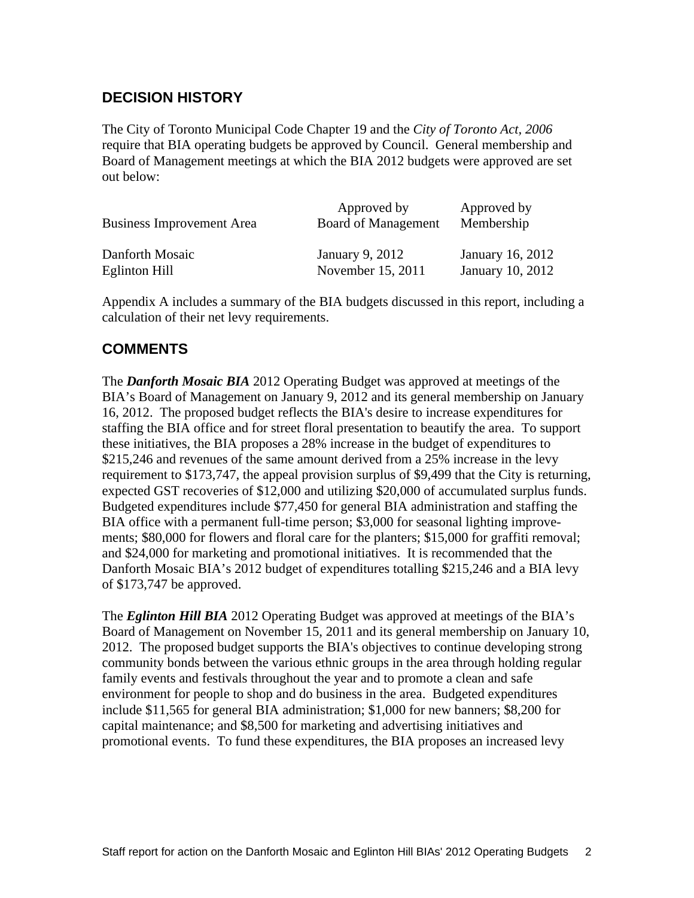#### **DECISION HISTORY**

The City of Toronto Municipal Code Chapter 19 and the *City of Toronto Act, 2006* require that BIA operating budgets be approved by Council. General membership and Board of Management meetings at which the BIA 2012 budgets were approved are set out below:

Appendix A includes a summary of the BIA budgets discussed in this report, including a calculation of their net levy requirements.

#### **COMMENTS**

The *Danforth Mosaic BIA* 2012 Operating Budget was approved at meetings of the BIA's Board of Management on January 9, 2012 and its general membership on January 16, 2012. The proposed budget reflects the BIA's desire to increase expenditures for staffing the BIA office and for street floral presentation to beautify the area. To support these initiatives, the BIA proposes a 28% increase in the budget of expenditures to \$215,246 and revenues of the same amount derived from a 25% increase in the levy requirement to \$173,747, the appeal provision surplus of \$9,499 that the City is returning, expected GST recoveries of \$12,000 and utilizing \$20,000 of accumulated surplus funds. Budgeted expenditures include \$77,450 for general BIA administration and staffing the BIA office with a permanent full-time person; \$3,000 for seasonal lighting improve ments; \$80,000 for flowers and floral care for the planters; \$15,000 for graffiti removal; and \$24,000 for marketing and promotional initiatives. It is recommended that the Danforth Mosaic BIA's 2012 budget of expenditures totalling \$215,246 and a BIA levy of \$173,747 be approved.

The *Eglinton Hill BIA* 2012 Operating Budget was approved at meetings of the BIA's Board of Management on November 15, 2011 and its general membership on January 10, 2012. The proposed budget supports the BIA's objectives to continue developing strong community bonds between the various ethnic groups in the area through holding regular family events and festivals throughout the year and to promote a clean and safe environment for people to shop and do business in the area. Budgeted expenditures include \$11,565 for general BIA administration; \$1,000 for new banners; \$8,200 for capital maintenance; and \$8,500 for marketing and advertising initiatives and promotional events. To fund these expenditures, the BIA proposes an increased levy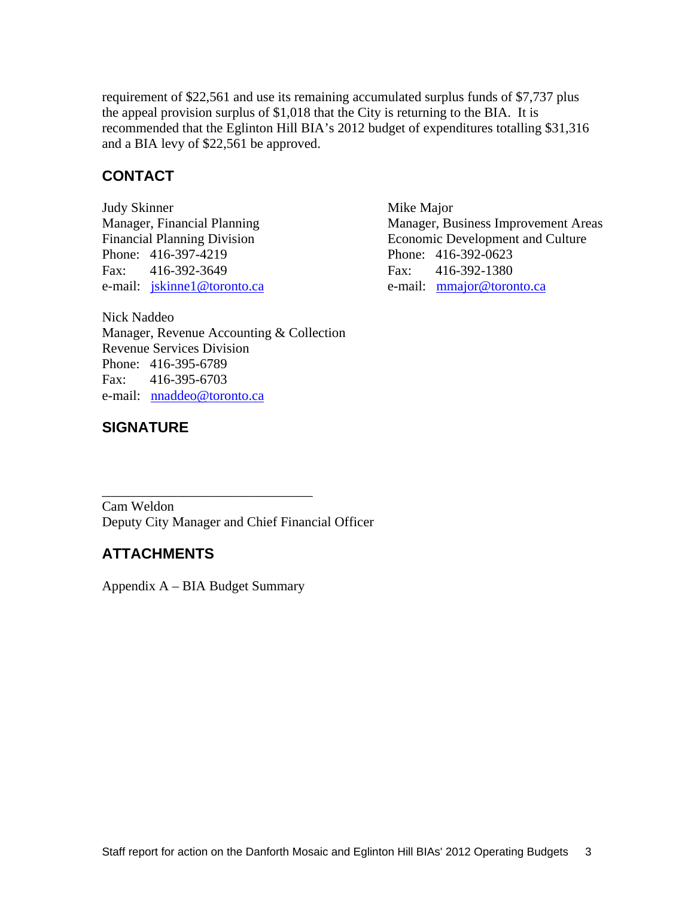requirement of \$22,561 and use its remaining accumulated surplus funds of \$7,737 plus the appeal provision surplus of \$1,018 that the City is returning to the BIA. It is recommended that the Eglinton Hill BIA's 2012 budget of expenditures totalling \$31,316 and a BIA levy of \$22,561 be approved.

#### **CONTACT**

e-mail: jskinne1@toronto.ca e-mail: mmajor@toronto.ca

Judy Skinner and Mike Major Mike Major Manager, Financial Planning Manager, Business Improvement Areas Financial Planning Division<br>
Economic Development and Culture Phone: 416-397-4219 Phone: 416-392-0623 Fax: 416-392-3649 Fax: 416-392-1380

 $\overline{\phantom{a}}$  , we are the contract of the contract of the contract of the contract of the contract of the contract of the contract of the contract of the contract of the contract of the contract of the contract of the cont

Nick Naddeo Manager, Revenue Accounting & Collection Revenue Services Division Phone: 416-395-6789 Fax: 416-395-6703 e-mail: nnaddeo@toronto.ca

#### **SIGNATURE**

Cam Weldon Deputy City Manager and Chief Financial Officer

#### **ATTACHMENTS**

Appendix A – BIA Budget Summary